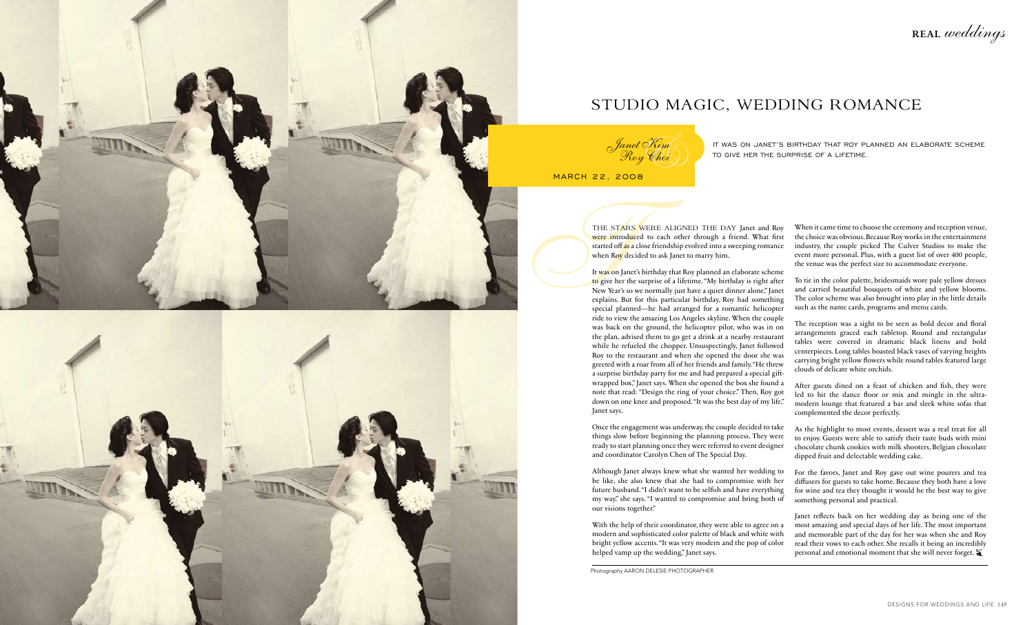With the help of their coordinator, they were able to agree on a modern and sophisticated color palette of black and white with bright yellow accents. "It was very modern and the pop of color helped vamp up the wedding," Janet says. Janet reflects back on her wedding day as being one of the most amazing and special days of her life. The most important and memorable part of the day for her was when she and Roy read their vows to each other. She recalls it being an incredibly personal and emotional moment that she will never forget.  $\hat{\boldsymbol{\ast}}$ 

THE STARS WERE ALIGNED THE DAY Janet and Roy<br>were introduced to each other through a friend. What first<br>started off as a close friendship evolved into a sweeping romance<br>when Roy decided to ask Janet to marry him.<br>It was o It was on Janet's birthday that Roy planned an elaborate scheme to give her the surprise of a lifetime. "My birthday is right after New Year's so we normally just have a quiet dinner alone," Janet explains. But for this particular birthday, Roy had something special planned—he had arranged for a romantic helicopter ride to view the amazing Los Angeles skyline. When the couple was back on the ground, the helicopter pilot, who was in on the plan, advised them to go get a drink at a nearby restaurant while he refueled the chopper. Unsuspectingly, Janet followed Roy to the restaurant and when she opened the door she was greeted with a roar from all of her friends and family. "He threw a surprise birthday party for me and had prepared a special giftwrapped box," Janet says. When she opened the box she found a note that read: "Design the ring of your choice." Then, Roy got down on one knee and proposed. "It was the best day of my life," Janet says. To tie in the color palette, bridesmaids wore pale yellow dresses and carried beautiful bouquets of white and yellow blooms. The color scheme was also brought into play in the little details such as the name cards, programs and menu cards. The reception was a sight to be seen as bold decor and floral arrangements graced each tabletop. Round and rectangular tables were covered in dramatic black linens and bold centerpieces. Long tables boasted black vases of varying heights carrying bright yellow flowers while round tables featured large clouds of delicate white orchids. After guests dined on a feast of chicken and fish, they were led to hit the dance floor or mix and mingle in the ultramodern lounge that featured a bar and sleek white sofas that complemented the decor perfectly.

Janet Kim <sup>t</sup>anet Kim<br>Roy Choi )<br>.008

When it came time to choose the ceremony and reception venue, the choice was obvious. Because Roy works in the entertainment industry, the couple picked The Culver Studios to make the event more personal. Plus, with a guest list of over 400 people, the venue was the perfect size to accommodate everyone.

Once the engagement was underway, the couple decided to take things slow before beginning the planning process. They were ready to start planning once they were referred to event designer and coordinator Carolyn Chen of The Special Day. As the highlight to most events, dessert was a real treat for all to enjoy. Guests were able to satisfy their taste buds with mini chocolate chunk cookies with milk shooters, Belgian chocolate dipped fruit and delectable wedding cake.

Although Janet always knew what she wanted her wedding to be like, she also knew that she had to compromise with her future husband. "I didn't want to be selfish and have everything my way," she says. "I wanted to compromise and bring both of our visions together." For the favors, Janet and Roy gave out wine pourers and tea diffusers for guests to take home. Because they both have a love for wine and tea they thought it would be the best way to give something personal and practical.

It was on Janet's birthday that Roy planned an elaborate scheme to give her the surprise of a lifetime.

MARCH 22, 2008

were introduced to each other through a friend. What first started off as a close friendship evolved into a sweeping romance when Roy decided to ask Janet to marry him.



## studio magic, wedding romance

Photography AARON DELESIE PHOTOGRAPHER

REAL weddings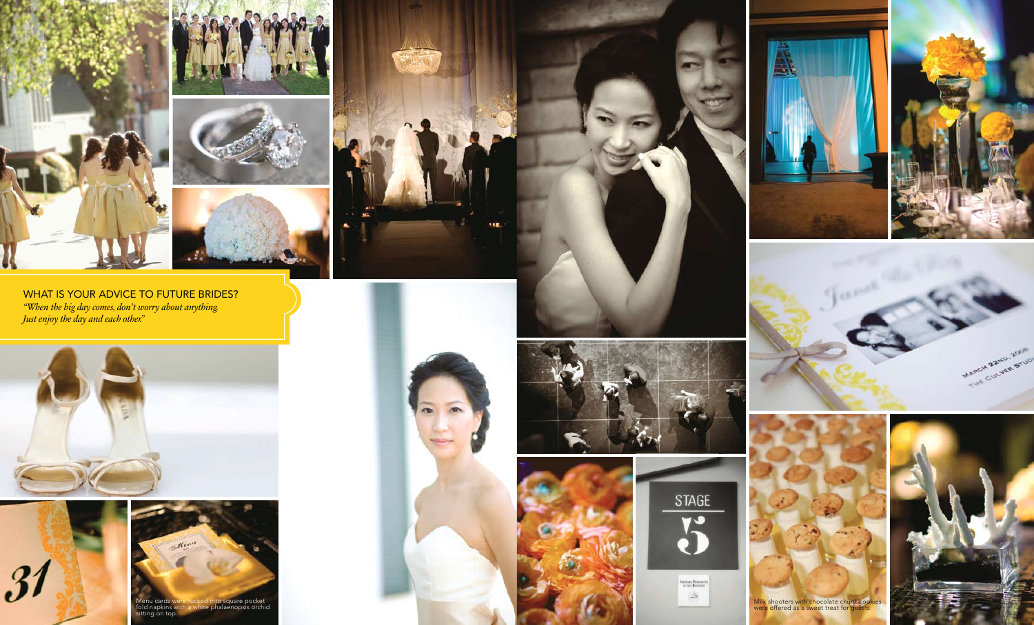





WHAT IS YOUR ADVICE TO FUTURE BRIDES? *"When the big day comes, don't worry about anything. Just enjoy the day and each other."*









**HEL** 





Section Provents  $\mathcal{S}$